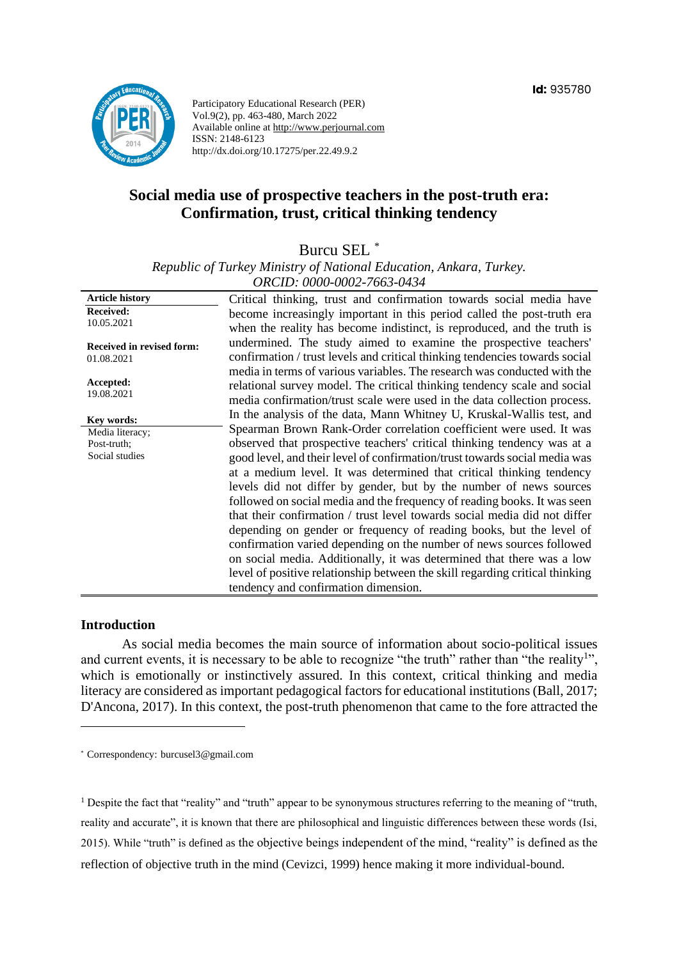

Participatory Educational Research (PER) Vol.9(2), pp. 463-480, March 2022 Available online at http://www.perjournal.com ISSN: 2148-6123 http://dx.doi.org/10.17275/per.22.49.9.2

# **Social media use of prospective teachers in the post-truth era: Confirmation, trust, critical thinking tendency**

Burcu SEL \*

*Republic of Turkey Ministry of National Education, Ankara, Turkey. ORCID: 0000-0002-7663-0434*

| <b>Article history</b>                         | Critical thinking, trust and confirmation towards social media have                                                                                                                                                              |
|------------------------------------------------|----------------------------------------------------------------------------------------------------------------------------------------------------------------------------------------------------------------------------------|
| <b>Received:</b>                               | become increasingly important in this period called the post-truth era                                                                                                                                                           |
| 10.05.2021                                     | when the reality has become indistinct, is reproduced, and the truth is                                                                                                                                                          |
| <b>Received in revised form:</b><br>01.08.2021 | undermined. The study aimed to examine the prospective teachers'<br>confirmation / trust levels and critical thinking tendencies towards social                                                                                  |
| Accepted:<br>19.08.2021                        | media in terms of various variables. The research was conducted with the<br>relational survey model. The critical thinking tendency scale and social<br>media confirmation/trust scale were used in the data collection process. |
| Key words:                                     | In the analysis of the data, Mann Whitney U, Kruskal-Wallis test, and                                                                                                                                                            |
| Media literacy;                                | Spearman Brown Rank-Order correlation coefficient were used. It was                                                                                                                                                              |
| Post-truth;                                    | observed that prospective teachers' critical thinking tendency was at a                                                                                                                                                          |
| Social studies                                 | good level, and their level of confirmation/trust towards social media was                                                                                                                                                       |
|                                                | at a medium level. It was determined that critical thinking tendency                                                                                                                                                             |
|                                                | levels did not differ by gender, but by the number of news sources                                                                                                                                                               |
|                                                | followed on social media and the frequency of reading books. It was seen                                                                                                                                                         |
|                                                | that their confirmation / trust level towards social media did not differ                                                                                                                                                        |
|                                                | depending on gender or frequency of reading books, but the level of                                                                                                                                                              |
|                                                | confirmation varied depending on the number of news sources followed                                                                                                                                                             |
|                                                | on social media. Additionally, it was determined that there was a low                                                                                                                                                            |
|                                                | level of positive relationship between the skill regarding critical thinking                                                                                                                                                     |
|                                                | tendency and confirmation dimension.                                                                                                                                                                                             |

#### **Introduction**

As social media becomes the main source of information about socio-political issues and current events, it is necessary to be able to recognize "the truth" rather than "the reality<sup>1</sup>", which is emotionally or instinctively assured. In this context, critical thinking and media literacy are considered as important pedagogical factors for educational institutions (Ball, 2017; D'Ancona, 2017). In this context, the post-truth phenomenon that came to the fore attracted the

<sup>1</sup> Despite the fact that "reality" and "truth" appear to be synonymous structures referring to the meaning of "truth, reality and accurate", it is known that there are philosophical and linguistic differences between these words (Isi, 2015). While "truth" is defined as the objective beings independent of the mind, "reality" is defined as the reflection of objective truth in the mind (Cevizci, 1999) hence making it more individual-bound.

<sup>\*</sup> [Correspondency:](mailto:Correspondency:) burcusel3@gmail.com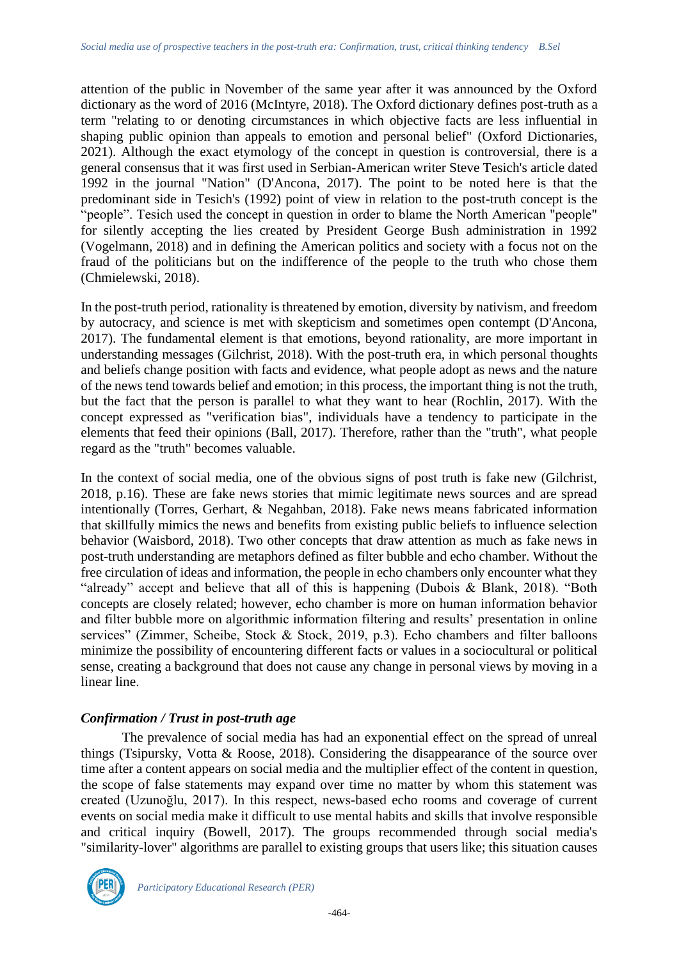attention of the public in November of the same year after it was announced by the Oxford dictionary as the word of 2016 (McIntyre, 2018). The Oxford dictionary defines post-truth as a term "relating to or denoting circumstances in which objective facts are less influential in shaping public opinion than appeals to emotion and personal belief" (Oxford Dictionaries, 2021). Although the exact etymology of the concept in question is controversial, there is a general consensus that it was first used in Serbian-American writer Steve Tesich's article dated 1992 in the journal "Nation" (D'Ancona, 2017). The point to be noted here is that the predominant side in Tesich's (1992) point of view in relation to the post-truth concept is the "people". Tesich used the concept in question in order to blame the North American "people" for silently accepting the lies created by President George Bush administration in 1992 (Vogelmann, 2018) and in defining the American politics and society with a focus not on the fraud of the politicians but on the indifference of the people to the truth who chose them (Chmielewski, 2018).

In the post-truth period, rationality is threatened by emotion, diversity by nativism, and freedom by autocracy, and science is met with skepticism and sometimes open contempt (D'Ancona, 2017). The fundamental element is that emotions, beyond rationality, are more important in understanding messages (Gilchrist, 2018). With the post-truth era, in which personal thoughts and beliefs change position with facts and evidence, what people adopt as news and the nature of the news tend towards belief and emotion; in this process, the important thing is not the truth, but the fact that the person is parallel to what they want to hear (Rochlin, 2017). With the concept expressed as "verification bias", individuals have a tendency to participate in the elements that feed their opinions (Ball, 2017). Therefore, rather than the "truth", what people regard as the "truth" becomes valuable.

In the context of social media, one of the obvious signs of post truth is fake new (Gilchrist, 2018, p.16). These are fake news stories that mimic legitimate news sources and are spread intentionally (Torres, Gerhart, & Negahban, 2018). Fake news means fabricated information that skillfully mimics the news and benefits from existing public beliefs to influence selection behavior (Waisbord, 2018). Two other concepts that draw attention as much as fake news in post-truth understanding are metaphors defined as filter bubble and echo chamber. Without the free circulation of ideas and information, the people in echo chambers only encounter what they "already" accept and believe that all of this is happening (Dubois & Blank, 2018). "Both concepts are closely related; however, echo chamber is more on human information behavior and filter bubble more on algorithmic information filtering and results' presentation in online services" (Zimmer, Scheibe, Stock & Stock, 2019, p.3). Echo chambers and filter balloons minimize the possibility of encountering different facts or values in a sociocultural or political sense, creating a background that does not cause any change in personal views by moving in a linear line.

## *Confirmation / Trust in post-truth age*

The prevalence of social media has had an exponential effect on the spread of unreal things (Tsipursky, Votta & Roose, 2018). Considering the disappearance of the source over time after a content appears on social media and the multiplier effect of the content in question, the scope of false statements may expand over time no matter by whom this statement was created (Uzunoğlu, 2017). In this respect, news-based echo rooms and coverage of current events on social media make it difficult to use mental habits and skills that involve responsible and critical inquiry (Bowell, 2017). The groups recommended through social media's "similarity-lover" algorithms are parallel to existing groups that users like; this situation causes



*Participatory Educational Research (PER)*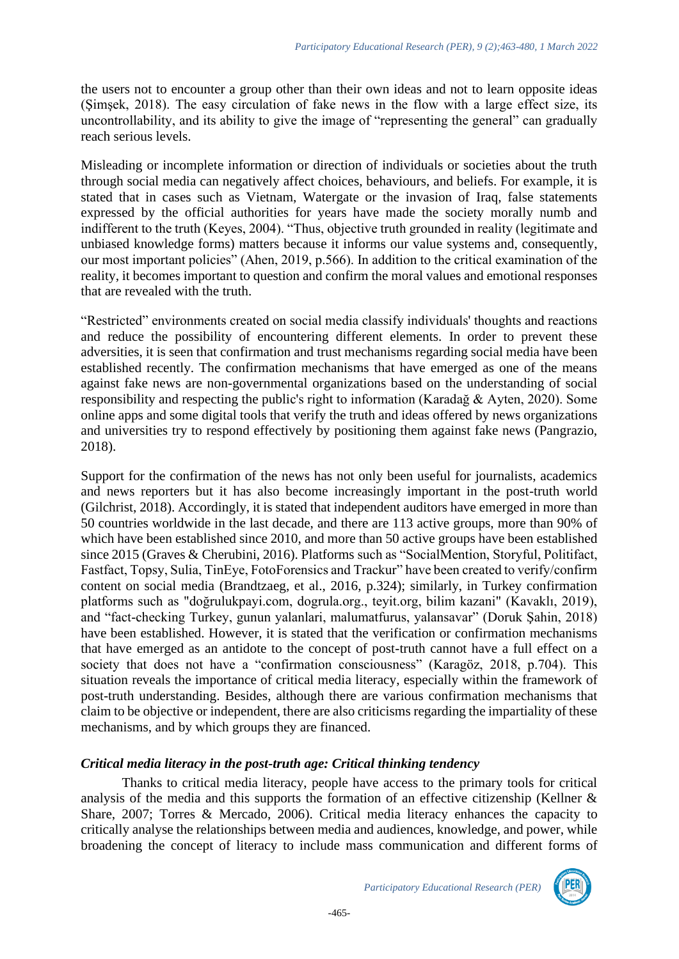the users not to encounter a group other than their own ideas and not to learn opposite ideas (Şimşek, 2018). The easy circulation of fake news in the flow with a large effect size, its uncontrollability, and its ability to give the image of "representing the general" can gradually reach serious levels.

Misleading or incomplete information or direction of individuals or societies about the truth through social media can negatively affect choices, behaviours, and beliefs. For example, it is stated that in cases such as Vietnam, Watergate or the invasion of Iraq, false statements expressed by the official authorities for years have made the society morally numb and indifferent to the truth (Keyes, 2004). "Thus, objective truth grounded in reality (legitimate and unbiased knowledge forms) matters because it informs our value systems and, consequently, our most important policies" (Ahen, 2019, p.566). In addition to the critical examination of the reality, it becomes important to question and confirm the moral values and emotional responses that are revealed with the truth.

"Restricted" environments created on social media classify individuals' thoughts and reactions and reduce the possibility of encountering different elements. In order to prevent these adversities, it is seen that confirmation and trust mechanisms regarding social media have been established recently. The confirmation mechanisms that have emerged as one of the means against fake news are non-governmental organizations based on the understanding of social responsibility and respecting the public's right to information (Karadağ & Ayten, 2020). Some online apps and some digital tools that verify the truth and ideas offered by news organizations and universities try to respond effectively by positioning them against fake news (Pangrazio, 2018).

Support for the confirmation of the news has not only been useful for journalists, academics and news reporters but it has also become increasingly important in the post-truth world (Gilchrist, 2018). Accordingly, it is stated that independent auditors have emerged in more than 50 countries worldwide in the last decade, and there are 113 active groups, more than 90% of which have been established since 2010, and more than 50 active groups have been established since 2015 (Graves & Cherubini, 2016). Platforms such as "SocialMention, Storyful, Politifact, Fastfact, Topsy, Sulia, TinEye, FotoForensics and Trackur" have been created to verify/confirm content on social media (Brandtzaeg, et al., 2016, p.324); similarly, in Turkey confirmation platforms such as "doğrulukpayi.com, dogrula.org., teyit.org, bilim kazani" (Kavaklı, 2019), and "fact-checking Turkey, gunun yalanlari, malumatfurus, yalansavar" (Doruk Şahin, 2018) have been established. However, it is stated that the verification or confirmation mechanisms that have emerged as an antidote to the concept of post-truth cannot have a full effect on a society that does not have a "confirmation consciousness" (Karagöz, 2018, p.704). This situation reveals the importance of critical media literacy, especially within the framework of post-truth understanding. Besides, although there are various confirmation mechanisms that claim to be objective or independent, there are also criticisms regarding the impartiality of these mechanisms, and by which groups they are financed.

## *Critical media literacy in the post-truth age: Critical thinking tendency*

Thanks to critical media literacy, people have access to the primary tools for critical analysis of the media and this supports the formation of an effective citizenship (Kellner & Share, 2007; Torres & Mercado, 2006). Critical media literacy enhances the capacity to critically analyse the relationships between media and audiences, knowledge, and power, while broadening the concept of literacy to include mass communication and different forms of



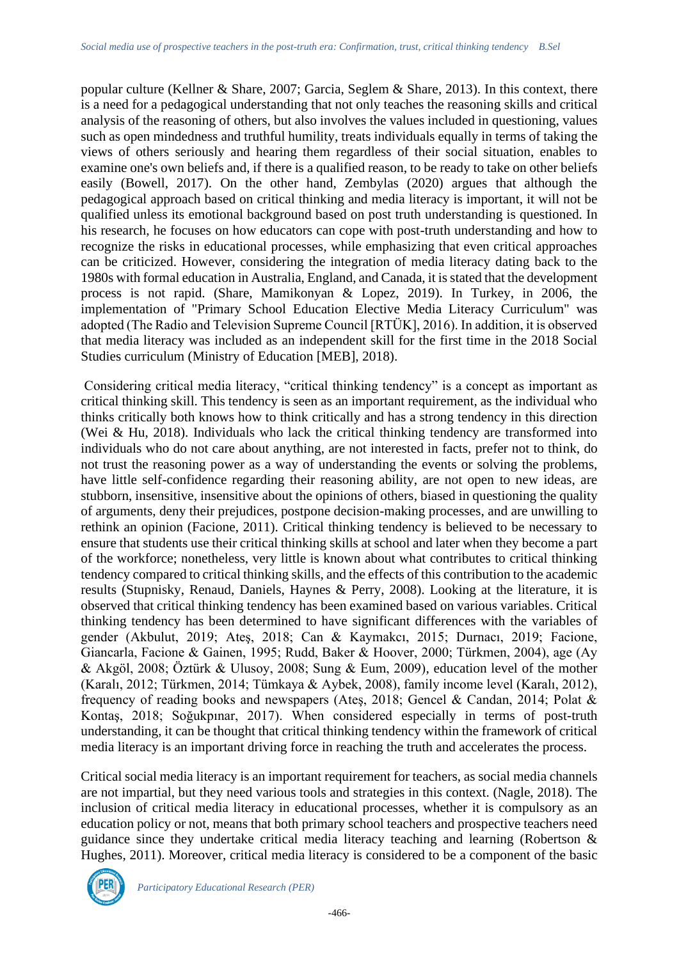popular culture (Kellner & Share, 2007; Garcia, Seglem & Share, 2013). In this context, there is a need for a pedagogical understanding that not only teaches the reasoning skills and critical analysis of the reasoning of others, but also involves the values included in questioning, values such as open mindedness and truthful humility, treats individuals equally in terms of taking the views of others seriously and hearing them regardless of their social situation, enables to examine one's own beliefs and, if there is a qualified reason, to be ready to take on other beliefs easily (Bowell, 2017). On the other hand, Zembylas (2020) argues that although the pedagogical approach based on critical thinking and media literacy is important, it will not be qualified unless its emotional background based on post truth understanding is questioned. In his research, he focuses on how educators can cope with post-truth understanding and how to recognize the risks in educational processes, while emphasizing that even critical approaches can be criticized. However, considering the integration of media literacy dating back to the 1980s with formal education in Australia, England, and Canada, it is stated that the development process is not rapid. (Share, Mamikonyan & Lopez, 2019). In Turkey, in 2006, the implementation of "Primary School Education Elective Media Literacy Curriculum" was adopted (The Radio and Television Supreme Council [RTÜK], 2016). In addition, it is observed that media literacy was included as an independent skill for the first time in the 2018 Social Studies curriculum (Ministry of Education [MEB], 2018).

Considering critical media literacy, "critical thinking tendency" is a concept as important as critical thinking skill. This tendency is seen as an important requirement, as the individual who thinks critically both knows how to think critically and has a strong tendency in this direction (Wei & Hu, 2018). Individuals who lack the critical thinking tendency are transformed into individuals who do not care about anything, are not interested in facts, prefer not to think, do not trust the reasoning power as a way of understanding the events or solving the problems, have little self-confidence regarding their reasoning ability, are not open to new ideas, are stubborn, insensitive, insensitive about the opinions of others, biased in questioning the quality of arguments, deny their prejudices, postpone decision-making processes, and are unwilling to rethink an opinion (Facione, 2011). Critical thinking tendency is believed to be necessary to ensure that students use their critical thinking skills at school and later when they become a part of the workforce; nonetheless, very little is known about what contributes to critical thinking tendency compared to critical thinking skills, and the effects of this contribution to the academic results (Stupnisky, Renaud, Daniels, Haynes & Perry, 2008). Looking at the literature, it is observed that critical thinking tendency has been examined based on various variables. Critical thinking tendency has been determined to have significant differences with the variables of gender (Akbulut, 2019; Ateş, 2018; Can & Kaymakcı, 2015; Durnacı, 2019; Facione, Giancarla, Facione & Gainen, 1995; Rudd, Baker & Hoover, 2000; Türkmen, 2004), age (Ay & Akgöl, 2008; Öztürk & Ulusoy, 2008; Sung & Eum, 2009), education level of the mother (Karalı, 2012; Türkmen, 2014; Tümkaya & Aybek, 2008), family income level (Karalı, 2012), frequency of reading books and newspapers (Ateş, 2018; Gencel & Candan, 2014; Polat & Kontaş, 2018; Soğukpınar, 2017). When considered especially in terms of post-truth understanding, it can be thought that critical thinking tendency within the framework of critical media literacy is an important driving force in reaching the truth and accelerates the process.

Critical social media literacy is an important requirement for teachers, as social media channels are not impartial, but they need various tools and strategies in this context. (Nagle, 2018). The inclusion of critical media literacy in educational processes, whether it is compulsory as an education policy or not, means that both primary school teachers and prospective teachers need guidance since they undertake critical media literacy teaching and learning (Robertson & Hughes, 2011). Moreover, critical media literacy is considered to be a component of the basic

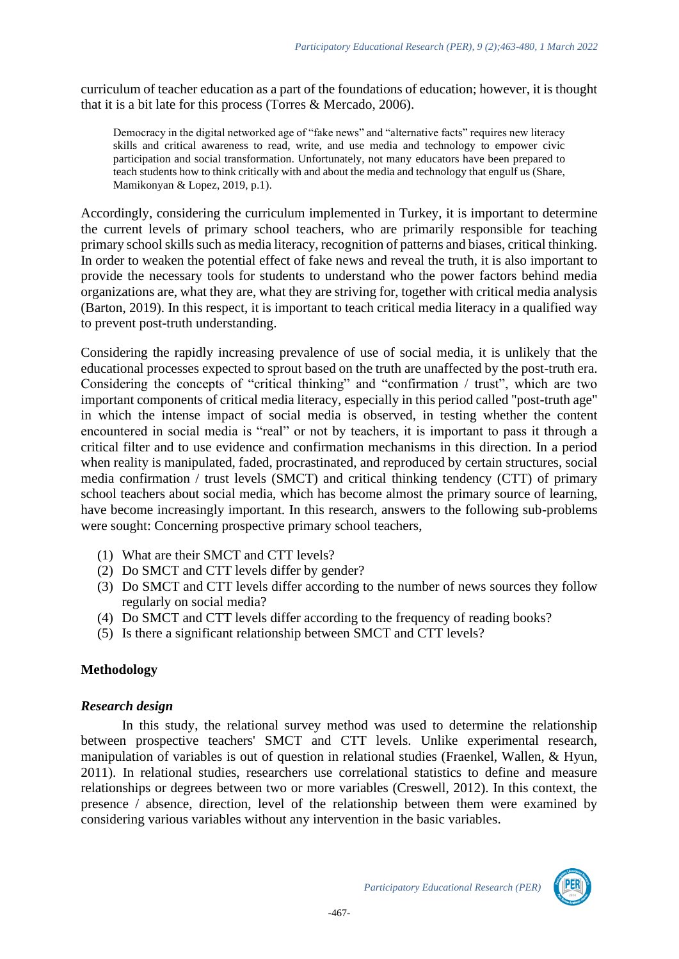curriculum of teacher education as a part of the foundations of education; however, it is thought that it is a bit late for this process (Torres & Mercado, 2006).

Democracy in the digital networked age of "fake news" and "alternative facts" requires new literacy skills and critical awareness to read, write, and use media and technology to empower civic participation and social transformation. Unfortunately, not many educators have been prepared to teach students how to think critically with and about the media and technology that engulf us (Share, Mamikonyan & Lopez, 2019, p.1).

Accordingly, considering the curriculum implemented in Turkey, it is important to determine the current levels of primary school teachers, who are primarily responsible for teaching primary school skills such as media literacy, recognition of patterns and biases, critical thinking. In order to weaken the potential effect of fake news and reveal the truth, it is also important to provide the necessary tools for students to understand who the power factors behind media organizations are, what they are, what they are striving for, together with critical media analysis (Barton, 2019). In this respect, it is important to teach critical media literacy in a qualified way to prevent post-truth understanding.

Considering the rapidly increasing prevalence of use of social media, it is unlikely that the educational processes expected to sprout based on the truth are unaffected by the post-truth era. Considering the concepts of "critical thinking" and "confirmation / trust", which are two important components of critical media literacy, especially in this period called "post-truth age" in which the intense impact of social media is observed, in testing whether the content encountered in social media is "real" or not by teachers, it is important to pass it through a critical filter and to use evidence and confirmation mechanisms in this direction. In a period when reality is manipulated, faded, procrastinated, and reproduced by certain structures, social media confirmation / trust levels (SMCT) and critical thinking tendency (CTT) of primary school teachers about social media, which has become almost the primary source of learning, have become increasingly important. In this research, answers to the following sub-problems were sought: Concerning prospective primary school teachers,

- (1) What are their SMCT and CTT levels?
- (2) Do SMCT and CTT levels differ by gender?
- (3) Do SMCT and CTT levels differ according to the number of news sources they follow regularly on social media?
- (4) Do SMCT and CTT levels differ according to the frequency of reading books?
- (5) Is there a significant relationship between SMCT and CTT levels?

## **Methodology**

### *Research design*

In this study, the relational survey method was used to determine the relationship between prospective teachers' SMCT and CTT levels. Unlike experimental research, manipulation of variables is out of question in relational studies (Fraenkel, Wallen, & Hyun, 2011). In relational studies, researchers use correlational statistics to define and measure relationships or degrees between two or more variables (Creswell, 2012). In this context, the presence / absence, direction, level of the relationship between them were examined by considering various variables without any intervention in the basic variables.

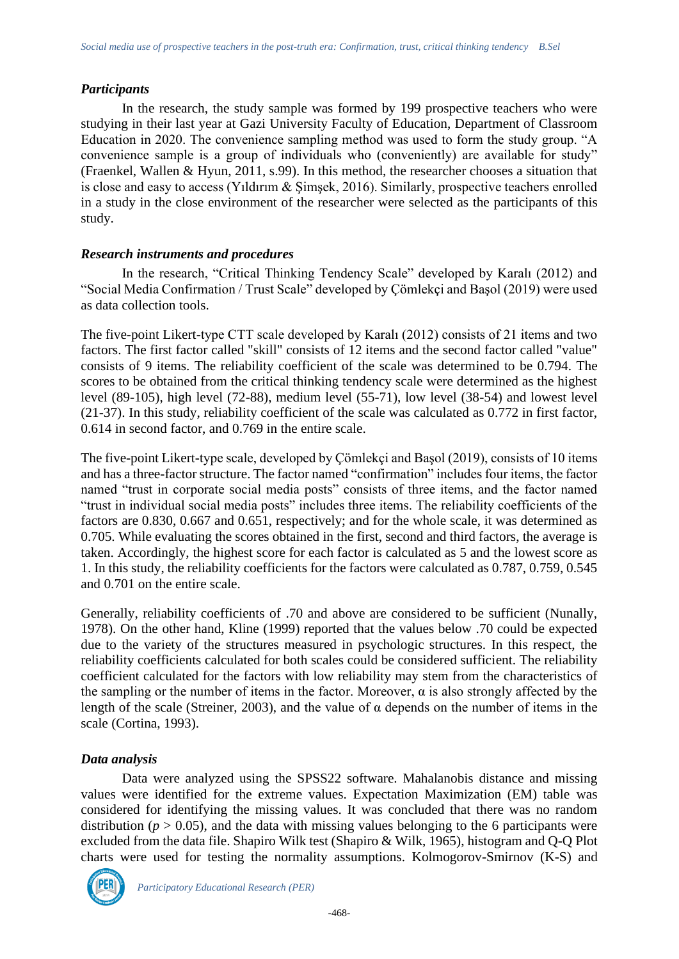## *Participants*

In the research, the study sample was formed by 199 prospective teachers who were studying in their last year at Gazi University Faculty of Education, Department of Classroom Education in 2020. The convenience sampling method was used to form the study group. "A convenience sample is a group of individuals who (conveniently) are available for study" (Fraenkel, Wallen & Hyun, 2011, s.99). In this method, the researcher chooses a situation that is close and easy to access (Yıldırım & Şimşek, 2016). Similarly, prospective teachers enrolled in a study in the close environment of the researcher were selected as the participants of this study.

## *Research instruments and procedures*

In the research, "Critical Thinking Tendency Scale" developed by Karalı (2012) and "Social Media Confirmation / Trust Scale" developed by Çömlekçi and Başol (2019) were used as data collection tools.

The five-point Likert-type CTT scale developed by Karalı (2012) consists of 21 items and two factors. The first factor called "skill" consists of 12 items and the second factor called "value" consists of 9 items. The reliability coefficient of the scale was determined to be 0.794. The scores to be obtained from the critical thinking tendency scale were determined as the highest level (89-105), high level (72-88), medium level (55-71), low level (38-54) and lowest level (21-37). In this study, reliability coefficient of the scale was calculated as 0.772 in first factor, 0.614 in second factor, and 0.769 in the entire scale.

The five-point Likert-type scale, developed by Çömlekçi and Başol (2019), consists of 10 items and has a three-factor structure. The factor named "confirmation" includes four items, the factor named "trust in corporate social media posts" consists of three items, and the factor named "trust in individual social media posts" includes three items. The reliability coefficients of the factors are 0.830, 0.667 and 0.651, respectively; and for the whole scale, it was determined as 0.705. While evaluating the scores obtained in the first, second and third factors, the average is taken. Accordingly, the highest score for each factor is calculated as 5 and the lowest score as 1. In this study, the reliability coefficients for the factors were calculated as 0.787, 0.759, 0.545 and 0.701 on the entire scale.

Generally, reliability coefficients of .70 and above are considered to be sufficient (Nunally, 1978). On the other hand, Kline (1999) reported that the values below .70 could be expected due to the variety of the structures measured in psychologic structures. In this respect, the reliability coefficients calculated for both scales could be considered sufficient. The reliability coefficient calculated for the factors with low reliability may stem from the characteristics of the sampling or the number of items in the factor. Moreover,  $\alpha$  is also strongly affected by the length of the scale (Streiner, 2003), and the value of  $\alpha$  depends on the number of items in the scale (Cortina, 1993).

## *Data analysis*

Data were analyzed using the SPSS22 software. Mahalanobis distance and missing values were identified for the extreme values. Expectation Maximization (EM) table was considered for identifying the missing values. It was concluded that there was no random distribution ( $p > 0.05$ ), and the data with missing values belonging to the 6 participants were excluded from the data file. Shapiro Wilk test (Shapiro & Wilk, 1965), histogram and Q-Q Plot charts were used for testing the normality assumptions. Kolmogorov-Smirnov (K-S) and

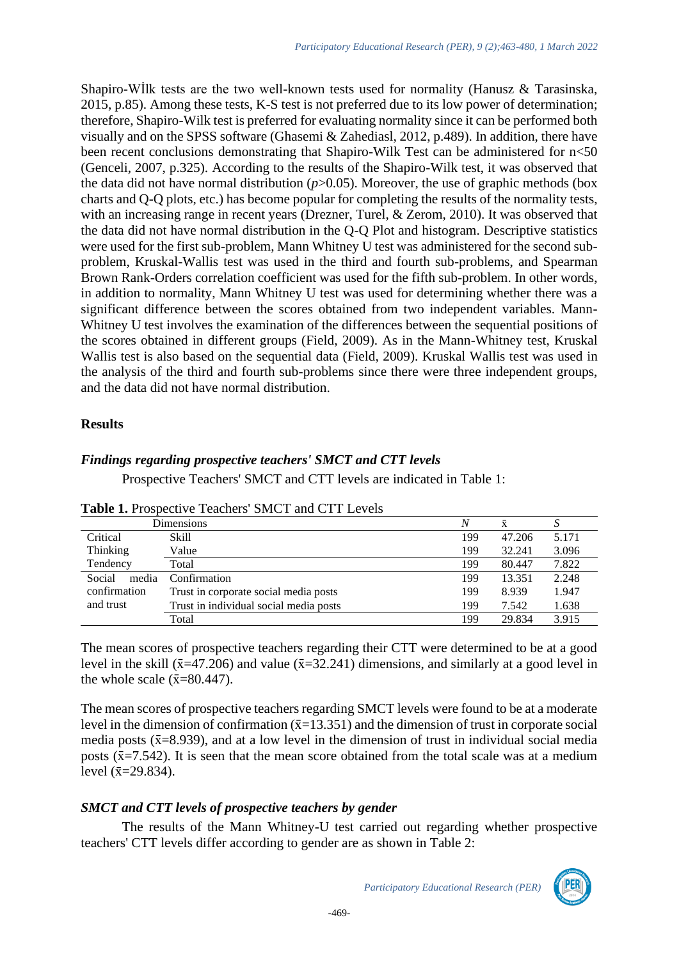Shapiro-Wİlk tests are the two well-known tests used for normality (Hanusz & Tarasinska, 2015, p.85). Among these tests, K-S test is not preferred due to its low power of determination; therefore, Shapiro-Wilk test is preferred for evaluating normality since it can be performed both visually and on the SPSS software (Ghasemi & Zahediasl, 2012, p.489). In addition, there have been recent conclusions demonstrating that Shapiro-Wilk Test can be administered for  $n<$  50 (Genceli, 2007, p.325). According to the results of the Shapiro-Wilk test, it was observed that the data did not have normal distribution  $(p>0.05)$ . Moreover, the use of graphic methods (box charts and Q-Q plots, etc.) has become popular for completing the results of the normality tests, with an increasing range in recent years (Drezner, Turel, & Zerom, 2010). It was observed that the data did not have normal distribution in the Q-Q Plot and histogram. Descriptive statistics were used for the first sub-problem, Mann Whitney U test was administered for the second subproblem, Kruskal-Wallis test was used in the third and fourth sub-problems, and Spearman Brown Rank-Orders correlation coefficient was used for the fifth sub-problem. In other words, in addition to normality, Mann Whitney U test was used for determining whether there was a significant difference between the scores obtained from two independent variables. Mann-Whitney U test involves the examination of the differences between the sequential positions of the scores obtained in different groups (Field, 2009). As in the Mann-Whitney test, Kruskal Wallis test is also based on the sequential data (Field, 2009). Kruskal Wallis test was used in the analysis of the third and fourth sub-problems since there were three independent groups, and the data did not have normal distribution.

### **Results**

# *Findings regarding prospective teachers' SMCT and CTT levels*

Prospective Teachers' SMCT and CTT levels are indicated in Table 1:

|                 | Tuble 1. I Toppeen to Teachers Direct and CTT Letters |     |                    |       |  |  |  |  |
|-----------------|-------------------------------------------------------|-----|--------------------|-------|--|--|--|--|
|                 | Dimensions                                            | N   | $\bar{\mathbf{x}}$ |       |  |  |  |  |
| Critical        | Skill                                                 | 199 | 47.206             | 5.171 |  |  |  |  |
| <b>Thinking</b> | Value                                                 | 199 | 32.241             | 3.096 |  |  |  |  |
| Tendency        | Total                                                 | 199 | 80.447             | 7.822 |  |  |  |  |
| media<br>Social | Confirmation                                          | 199 | 13.351             | 2.248 |  |  |  |  |
| confirmation    | Trust in corporate social media posts                 | 199 | 8.939              | 1.947 |  |  |  |  |
| and trust       | Trust in individual social media posts                | 199 | 7.542              | 1.638 |  |  |  |  |
|                 | Total                                                 | 199 | 29.834             | 3.915 |  |  |  |  |

**Table 1.** Prospective Teachers' SMCT and CTT Levels

The mean scores of prospective teachers regarding their CTT were determined to be at a good level in the skill ( $\bar{x}$ =47.206) and value ( $\bar{x}$ =32.241) dimensions, and similarly at a good level in the whole scale  $(\bar{x}=80.447)$ .

The mean scores of prospective teachers regarding SMCT levels were found to be at a moderate level in the dimension of confirmation  $(\bar{x}=13.351)$  and the dimension of trust in corporate social media posts  $(\bar{x}=8.939)$ , and at a low level in the dimension of trust in individual social media posts  $(\bar{x}=7.542)$ . It is seen that the mean score obtained from the total scale was at a medium level  $({\bar{x}}=29.834)$ .

## *SMCT and CTT levels of prospective teachers by gender*

The results of the Mann Whitney-U test carried out regarding whether prospective teachers' CTT levels differ according to gender are as shown in Table 2:

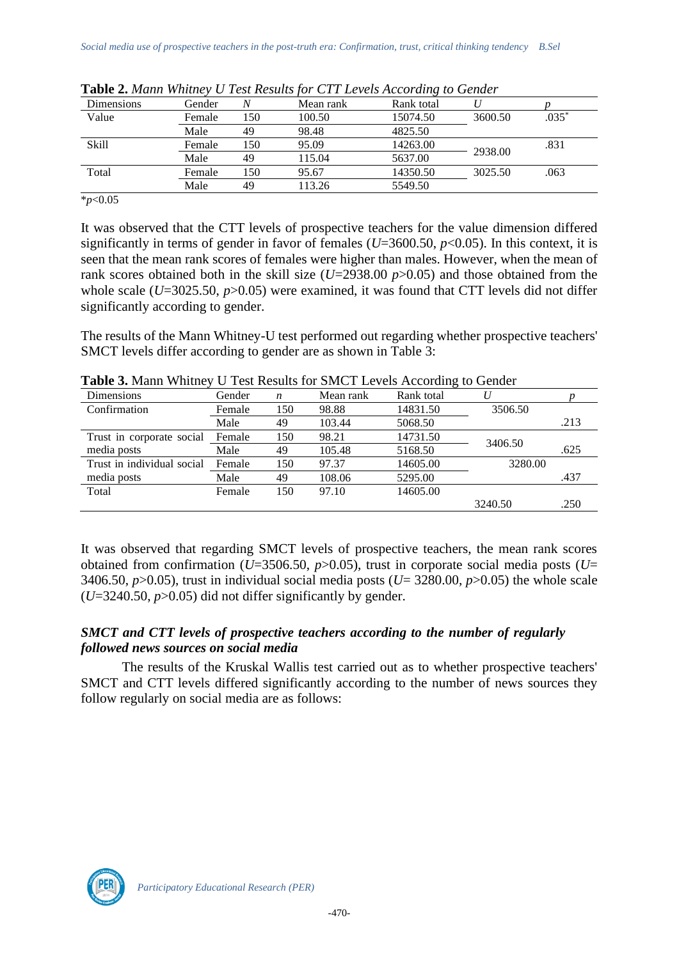| Dimensions   | Gender | N   | Mean rank | Rank total |         |         |
|--------------|--------|-----|-----------|------------|---------|---------|
| Value        | Female | 150 | 100.50    | 15074.50   | 3600.50 | $.035*$ |
|              | Male   | 49  | 98.48     | 4825.50    |         |         |
| <b>Skill</b> | Female | 150 | 95.09     | 14263.00   | 2938.00 | .831    |
|              | Male   | 49  | 115.04    | 5637.00    |         |         |
| Total        | Female | 150 | 95.67     | 14350.50   | 3025.50 | .063    |
|              | Male   | 49  | 113.26    | 5549.50    |         |         |

**Table 2.** *Mann Whitney U Test Results for CTT Levels According to Gender* 

\**p*<0.05

It was observed that the CTT levels of prospective teachers for the value dimension differed significantly in terms of gender in favor of females (*U*=3600.50, *p*<0.05). In this context, it is seen that the mean rank scores of females were higher than males. However, when the mean of rank scores obtained both in the skill size (*U*=2938.00 *p*>0.05) and those obtained from the whole scale (*U*=3025.50, *p*>0.05) were examined, it was found that CTT levels did not differ significantly according to gender.

The results of the Mann Whitney-U test performed out regarding whether prospective teachers' SMCT levels differ according to gender are as shown in Table 3:

| <b>Dimensions</b>          | Gender | $\boldsymbol{n}$ | Mean rank | Rank total |         |      |
|----------------------------|--------|------------------|-----------|------------|---------|------|
| Confirmation               | Female | 150              | 98.88     | 14831.50   | 3506.50 |      |
|                            | Male   | 49               | 103.44    | 5068.50    |         | .213 |
| Trust in corporate social  | Female | 150              | 98.21     | 14731.50   | 3406.50 |      |
| media posts                | Male   | 49               | 105.48    | 5168.50    |         | .625 |
| Trust in individual social | Female | 150              | 97.37     | 14605.00   | 3280.00 |      |
| media posts                | Male   | 49               | 108.06    | 5295.00    |         | .437 |
| Total                      | Female | 150              | 97.10     | 14605.00   |         |      |
|                            |        |                  |           |            | 3240.50 | .250 |

**Table 3.** Mann Whitney U Test Results for SMCT Levels According to Gender

It was observed that regarding SMCT levels of prospective teachers, the mean rank scores obtained from confirmation ( $U=3506.50$ ,  $p>0.05$ ), trust in corporate social media posts ( $U=$ 3406.50,  $p > 0.05$ ), trust in individual social media posts ( $U=$  3280.00,  $p > 0.05$ ) the whole scale  $(U=3240.50, p>0.05)$  did not differ significantly by gender.

## *SMCT and CTT levels of prospective teachers according to the number of regularly followed news sources on social media*

The results of the Kruskal Wallis test carried out as to whether prospective teachers' SMCT and CTT levels differed significantly according to the number of news sources they follow regularly on social media are as follows:

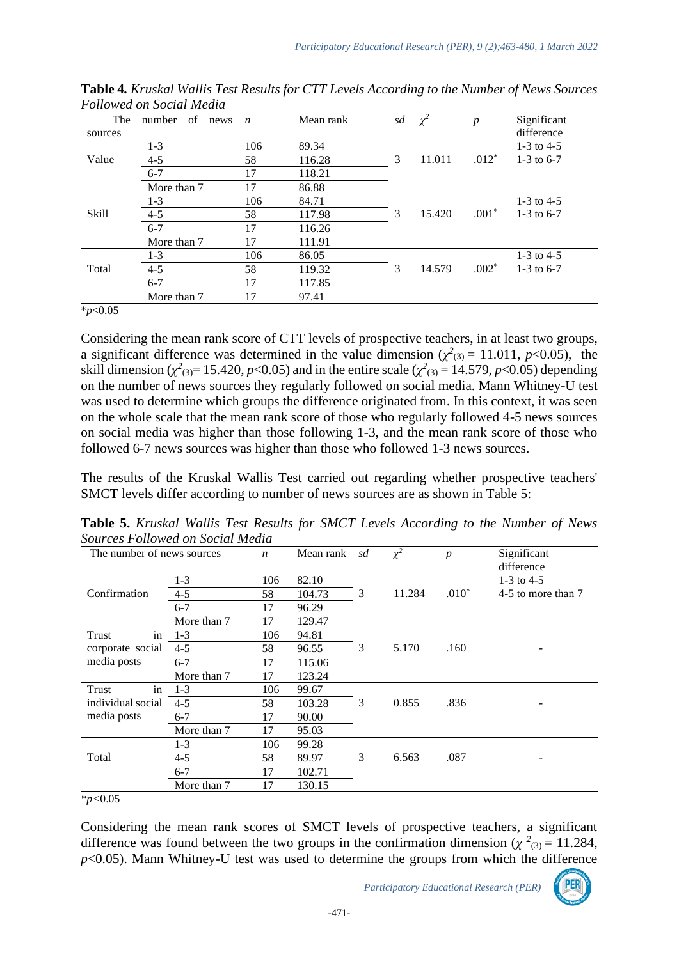| The          | of<br>number<br>news | $\boldsymbol{n}$ | Mean rank | sd | $\chi^2$ | $\boldsymbol{p}$ | Significant  |
|--------------|----------------------|------------------|-----------|----|----------|------------------|--------------|
| sources      |                      |                  |           |    |          |                  | difference   |
|              | $1-3$                | 106              | 89.34     |    |          |                  | 1-3 to 4-5   |
| Value        | $4 - 5$              | 58               | 116.28    | 3  | 11.011   | $.012*$          | 1-3 to $6-7$ |
|              | $6 - 7$              | 17               | 118.21    |    |          |                  |              |
|              | More than 7          | 17               | 86.88     |    |          |                  |              |
|              | $1-3$                | 106              | 84.71     |    |          |                  | 1-3 to $4-5$ |
| <b>Skill</b> | $4 - 5$              | 58               | 117.98    | 3  | 15.420   | $.001*$          | 1-3 to $6-7$ |
|              | $6 - 7$              | 17               | 116.26    |    |          |                  |              |
|              | More than 7          | 17               | 111.91    |    |          |                  |              |
|              | $1-3$                | 106              | 86.05     |    |          |                  | 1-3 to 4-5   |
| Total        | $4 - 5$              | 58               | 119.32    | 3  | 14.579   | $.002*$          | 1-3 to $6-7$ |
|              | $6 - 7$              | 17               | 117.85    |    |          |                  |              |
|              | More than 7          | 17               | 97.41     |    |          |                  |              |

**Table 4***. Kruskal Wallis Test Results for CTT Levels According to the Number of News Sources Followed on Social Media*

\**p*<0.05

Considering the mean rank score of CTT levels of prospective teachers, in at least two groups, a significant difference was determined in the value dimension  $(\chi^2_{(3)} = 11.011, p<0.05)$ , the skill dimension ( $\chi^2$ <sub>(3)</sub> = 15.420, *p*<0.05) and in the entire scale ( $\chi^2$ <sub>(3)</sub> = 14.579, *p*<0.05) depending on the number of news sources they regularly followed on social media. Mann Whitney-U test was used to determine which groups the difference originated from. In this context, it was seen on the whole scale that the mean rank score of those who regularly followed 4-5 news sources on social media was higher than those following 1-3, and the mean rank score of those who followed 6-7 news sources was higher than those who followed 1-3 news sources.

The results of the Kruskal Wallis Test carried out regarding whether prospective teachers' SMCT levels differ according to number of news sources are as shown in Table 5:

| The number of news sources |             | $\boldsymbol{n}$ | Mean rank | sd | $\chi^2$ | $\boldsymbol{p}$ | Significant<br>difference |
|----------------------------|-------------|------------------|-----------|----|----------|------------------|---------------------------|
|                            | $1 - 3$     | 106              | 82.10     |    |          |                  | $1-3$ to 4-5              |
| Confirmation               | $4 - 5$     | 58               | 104.73    | 3  | 11.284   | $.010*$          | 4-5 to more than 7        |
|                            | $6 - 7$     | 17               | 96.29     |    |          |                  |                           |
|                            | More than 7 | 17               | 129.47    |    |          |                  |                           |
| in<br>Trust                | $1-3$       | 106              | 94.81     |    |          |                  |                           |
| corporate social           | $4 - 5$     | 58               | 96.55     | 3  | 5.170    | .160             |                           |
| media posts                | $6 - 7$     | 17               | 115.06    |    |          |                  |                           |
|                            | More than 7 | 17               | 123.24    |    |          |                  |                           |
| in<br>Trust                | $1-3$       | 106              | 99.67     |    |          |                  |                           |
| individual social          | $4 - 5$     | 58               | 103.28    | 3  | 0.855    | .836             |                           |
| media posts                | $6 - 7$     | 17               | 90.00     |    |          |                  |                           |
|                            | More than 7 | 17               | 95.03     |    |          |                  |                           |
|                            | $1-3$       | 106              | 99.28     |    |          |                  |                           |
| Total                      | $4 - 5$     | 58               | 89.97     | 3  | 6.563    | .087             |                           |
|                            | $6 - 7$     | 17               | 102.71    |    |          |                  |                           |
|                            | More than 7 | 17               | 130.15    |    |          |                  |                           |

**Table 5.** *Kruskal Wallis Test Results for SMCT Levels According to the Number of News Sources Followed on Social Media*

*\*p<*0.05

Considering the mean rank scores of SMCT levels of prospective teachers, a significant difference was found between the two groups in the confirmation dimension ( $\chi^2$ <sub>(3)</sub> = 11.284,  $p$ <0.05). Mann Whitney-U test was used to determine the groups from which the difference

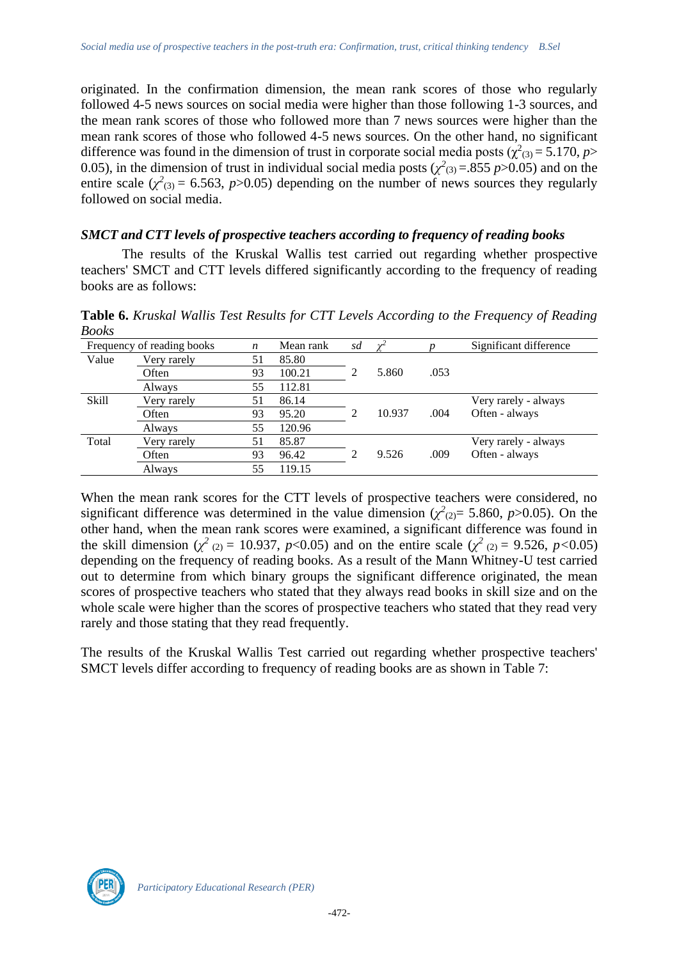originated. In the confirmation dimension, the mean rank scores of those who regularly followed 4-5 news sources on social media were higher than those following 1-3 sources, and the mean rank scores of those who followed more than 7 news sources were higher than the mean rank scores of those who followed 4-5 news sources. On the other hand, no significant difference was found in the dimension of trust in corporate social media posts ( $\chi^2_{(3)} = 5.170$ , *p*> 0.05), in the dimension of trust in individual social media posts ( $\chi^2$ <sub>(3)</sub> = .855 *p*>0.05) and on the entire scale  $(\chi^2_{(3)} = 6.563, p > 0.05)$  depending on the number of news sources they regularly followed on social media.

### *SMCT and CTT levels of prospective teachers according to frequency of reading books*

The results of the Kruskal Wallis test carried out regarding whether prospective teachers' SMCT and CTT levels differed significantly according to the frequency of reading books are as follows:

**Table 6.** *Kruskal Wallis Test Results for CTT Levels According to the Frequency of Reading Books*

|              | Frequency of reading books | n  | Mean rank | sd |        |      | Significant difference |
|--------------|----------------------------|----|-----------|----|--------|------|------------------------|
| Value        | Very rarely                | 51 | 85.80     |    |        |      |                        |
|              | Often                      | 93 | 100.21    |    | 5.860  | .053 |                        |
|              | Always                     | 55 | 112.81    |    |        |      |                        |
| <b>Skill</b> | Very rarely                | 51 | 86.14     |    |        |      | Very rarely - always   |
|              | Often                      | 93 | 95.20     | 2  | 10.937 | .004 | Often - always         |
|              | Always                     | 55 | 120.96    |    |        |      |                        |
| Total        | Very rarely                | 51 | 85.87     |    |        |      | Very rarely - always   |
|              | Often                      | 93 | 96.42     | ∍  | 9.526  | .009 | Often - always         |
|              | Always                     | 55 | 119.15    |    |        |      |                        |

When the mean rank scores for the CTT levels of prospective teachers were considered, no significant difference was determined in the value dimension  $(\chi^2_{(2)} = 5.860, p > 0.05)$ . On the other hand, when the mean rank scores were examined, a significant difference was found in the skill dimension ( $\chi^2$  (2) = 10.937, *p*<0.05) and on the entire scale ( $\chi^2$  (2) = 9.526, *p*<0.05) depending on the frequency of reading books. As a result of the Mann Whitney-U test carried out to determine from which binary groups the significant difference originated, the mean scores of prospective teachers who stated that they always read books in skill size and on the whole scale were higher than the scores of prospective teachers who stated that they read very rarely and those stating that they read frequently.

The results of the Kruskal Wallis Test carried out regarding whether prospective teachers' SMCT levels differ according to frequency of reading books are as shown in Table 7:

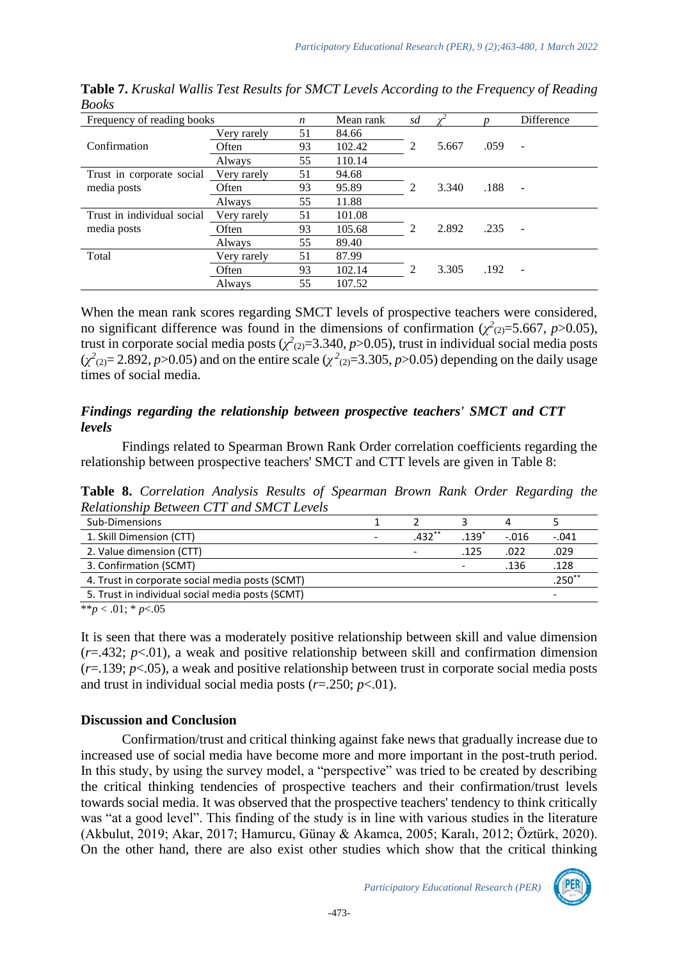| Frequency of reading books |             | $\boldsymbol{n}$ | Mean rank | sd |       |      | Difference               |
|----------------------------|-------------|------------------|-----------|----|-------|------|--------------------------|
|                            | Very rarely | 51               | 84.66     |    |       |      |                          |
| Confirmation               | Often       | 93               | 102.42    | 2  | 5.667 | .059 | $\overline{\phantom{m}}$ |
|                            | Always      | 55               | 110.14    |    |       |      |                          |
| Trust in corporate social  | Very rarely | 51               | 94.68     |    |       |      |                          |
| media posts                | Often       | 93               | 95.89     | 2  | 3.340 | .188 | ٠                        |
|                            | Always      | 55               | 11.88     |    |       |      |                          |
| Trust in individual social | Very rarely | 51               | 101.08    |    |       |      |                          |
| media posts                | Often       | 93               | 105.68    | 2  | 2.892 | .235 | $\overline{\phantom{a}}$ |
|                            | Always      | 55               | 89.40     |    |       |      |                          |
| Total                      | Very rarely | 51               | 87.99     |    |       |      |                          |
|                            | Often       | 93               | 102.14    | 2  | 3.305 | .192 | $\overline{\phantom{a}}$ |
|                            | Always      | 55               | 107.52    |    |       |      |                          |

**Table 7.** *Kruskal Wallis Test Results for SMCT Levels According to the Frequency of Reading Books*

When the mean rank scores regarding SMCT levels of prospective teachers were considered, no significant difference was found in the dimensions of confirmation  $(\chi^2_{(2)}=5.667, p>0.05)$ , trust in corporate social media posts  $(\chi^2_{(2)}=3.340, p>0.05)$ , trust in individual social media posts  $(\chi^2_{(2)} = 2.892, p > 0.05)$  and on the entire scale  $(\chi^2_{(2)} = 3.305, p > 0.05)$  depending on the daily usage times of social media.

### *Findings regarding the relationship between prospective teachers' SMCT and CTT levels*

Findings related to Spearman Brown Rank Order correlation coefficients regarding the relationship between prospective teachers' SMCT and CTT levels are given in Table 8:

**Table 8.** *Correlation Analysis Results of Spearman Brown Rank Order Regarding the Relationship Between CTT and SMCT Levels*

| Sub-Dimensions                                   |                          |                          |                          | 4       |                          |
|--------------------------------------------------|--------------------------|--------------------------|--------------------------|---------|--------------------------|
| 1. Skill Dimension (CTT)                         | $\overline{\phantom{a}}$ | $.432**$                 | 139                      | $-.016$ | $-.041$                  |
| 2. Value dimension (CTT)                         |                          | $\overline{\phantom{a}}$ | .125                     | .022    | .029                     |
| 3. Confirmation (SCMT)                           |                          |                          | $\overline{\phantom{a}}$ | .136    | .128                     |
| 4. Trust in corporate social media posts (SCMT)  |                          |                          |                          |         | $.250^{*}$               |
| 5. Trust in individual social media posts (SCMT) |                          |                          |                          |         | $\overline{\phantom{a}}$ |
|                                                  |                          |                          |                          |         |                          |

\*\**p* < .01; \* *p*<.05

It is seen that there was a moderately positive relationship between skill and value dimension (*r*=.432; *p*<.01), a weak and positive relationship between skill and confirmation dimension  $(r=139; p<.05)$ , a weak and positive relationship between trust in corporate social media posts and trust in individual social media posts  $(r=.250; p<.01)$ .

#### **Discussion and Conclusion**

Confirmation/trust and critical thinking against fake news that gradually increase due to increased use of social media have become more and more important in the post-truth period. In this study, by using the survey model, a "perspective" was tried to be created by describing the critical thinking tendencies of prospective teachers and their confirmation/trust levels towards social media. It was observed that the prospective teachers' tendency to think critically was "at a good level". This finding of the study is in line with various studies in the literature (Akbulut, 2019; Akar, 2017; Hamurcu, Günay & Akamca, 2005; Karalı, 2012; Öztürk, 2020). On the other hand, there are also exist other studies which show that the critical thinking

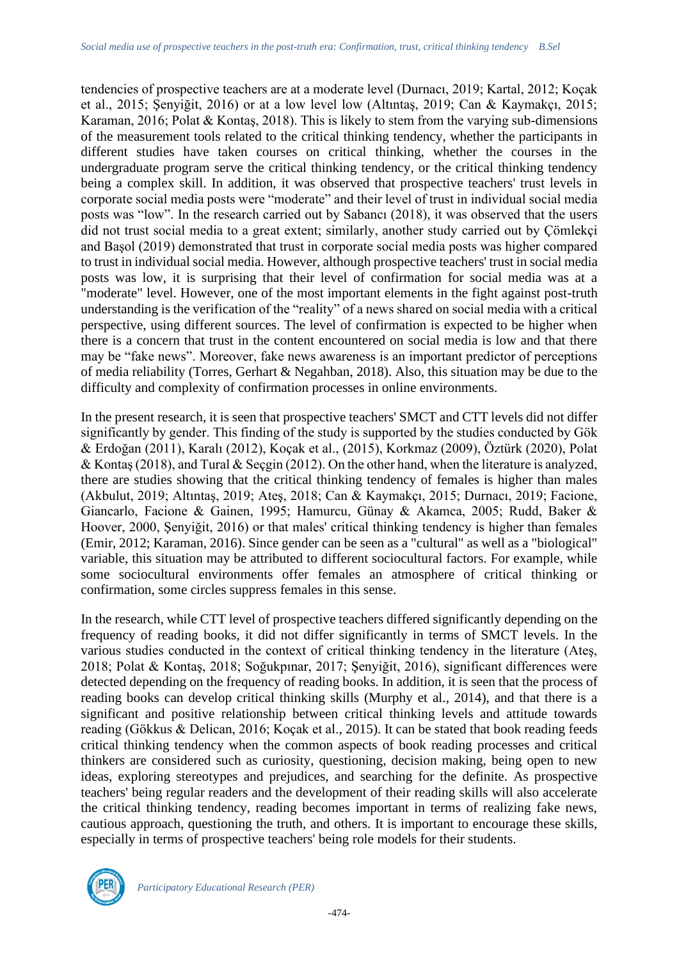tendencies of prospective teachers are at a moderate level (Durnacı, 2019; Kartal, 2012; Koçak et al., 2015; Şenyiğit, 2016) or at a low level low (Altıntaş, 2019; Can & Kaymakçı, 2015; Karaman, 2016; Polat & Kontaş, 2018). This is likely to stem from the varying sub-dimensions of the measurement tools related to the critical thinking tendency, whether the participants in different studies have taken courses on critical thinking, whether the courses in the undergraduate program serve the critical thinking tendency, or the critical thinking tendency being a complex skill. In addition, it was observed that prospective teachers' trust levels in corporate social media posts were "moderate" and their level of trust in individual social media posts was "low". In the research carried out by Sabancı (2018), it was observed that the users did not trust social media to a great extent; similarly, another study carried out by Çömlekçi and Başol (2019) demonstrated that trust in corporate social media posts was higher compared to trust in individual social media. However, although prospective teachers' trust in social media posts was low, it is surprising that their level of confirmation for social media was at a "moderate" level. However, one of the most important elements in the fight against post-truth understanding is the verification of the "reality" of a news shared on social media with a critical perspective, using different sources. The level of confirmation is expected to be higher when there is a concern that trust in the content encountered on social media is low and that there may be "fake news". Moreover, fake news awareness is an important predictor of perceptions of media reliability (Torres, Gerhart & Negahban, 2018). Also, this situation may be due to the difficulty and complexity of confirmation processes in online environments.

In the present research, it is seen that prospective teachers' SMCT and CTT levels did not differ significantly by gender. This finding of the study is supported by the studies conducted by Gök & Erdoğan (2011), Karalı (2012), Koçak et al., (2015), Korkmaz (2009), Öztürk (2020), Polat & Kontaş (2018), and Tural & Seçgin (2012). On the other hand, when the literature is analyzed, there are studies showing that the critical thinking tendency of females is higher than males (Akbulut, 2019; Altıntaş, 2019; Ateş, 2018; Can & Kaymakçı, 2015; Durnacı, 2019; Facione, Giancarlo, Facione & Gainen, 1995; Hamurcu, Günay & Akamca, 2005; Rudd, Baker & Hoover, 2000, Şenyiğit, 2016) or that males' critical thinking tendency is higher than females (Emir, 2012; Karaman, 2016). Since gender can be seen as a "cultural" as well as a "biological" variable, this situation may be attributed to different sociocultural factors. For example, while some sociocultural environments offer females an atmosphere of critical thinking or confirmation, some circles suppress females in this sense.

In the research, while CTT level of prospective teachers differed significantly depending on the frequency of reading books, it did not differ significantly in terms of SMCT levels. In the various studies conducted in the context of critical thinking tendency in the literature (Ateş, 2018; Polat & Kontaş, 2018; Soğukpınar, 2017; Şenyiğit, 2016), significant differences were detected depending on the frequency of reading books. In addition, it is seen that the process of reading books can develop critical thinking skills (Murphy et al., 2014), and that there is a significant and positive relationship between critical thinking levels and attitude towards reading (Gökkus & Delican, 2016; Koçak et al., 2015). It can be stated that book reading feeds critical thinking tendency when the common aspects of book reading processes and critical thinkers are considered such as curiosity, questioning, decision making, being open to new ideas, exploring stereotypes and prejudices, and searching for the definite. As prospective teachers' being regular readers and the development of their reading skills will also accelerate the critical thinking tendency, reading becomes important in terms of realizing fake news, cautious approach, questioning the truth, and others. It is important to encourage these skills, especially in terms of prospective teachers' being role models for their students.



*Participatory Educational Research (PER)*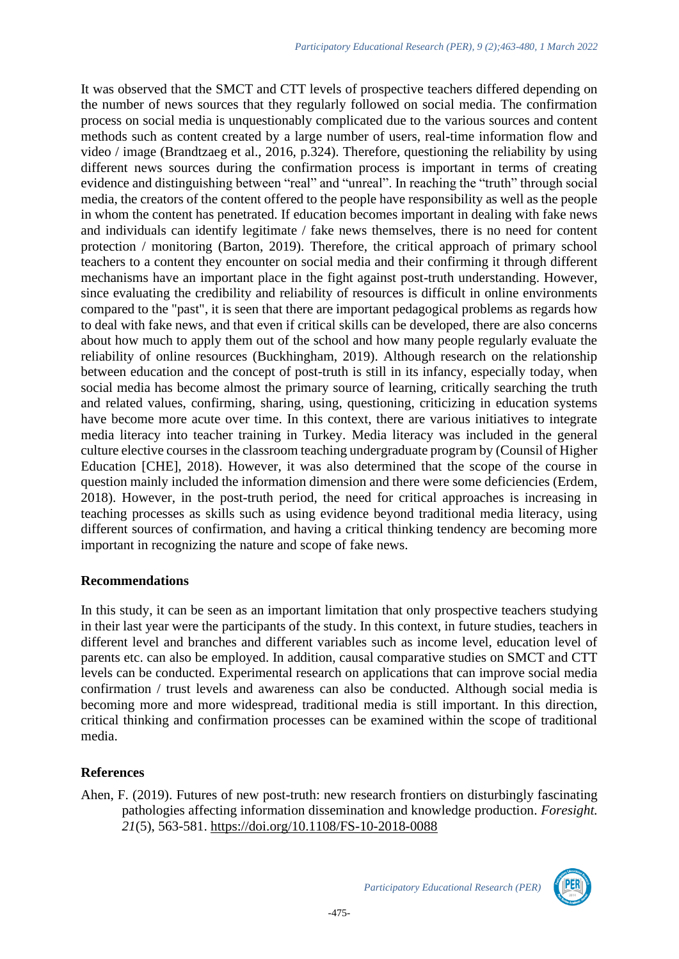It was observed that the SMCT and CTT levels of prospective teachers differed depending on the number of news sources that they regularly followed on social media. The confirmation process on social media is unquestionably complicated due to the various sources and content methods such as content created by a large number of users, real-time information flow and video / image (Brandtzaeg et al., 2016, p.324). Therefore, questioning the reliability by using different news sources during the confirmation process is important in terms of creating evidence and distinguishing between "real" and "unreal". In reaching the "truth" through social media, the creators of the content offered to the people have responsibility as well as the people in whom the content has penetrated. If education becomes important in dealing with fake news and individuals can identify legitimate / fake news themselves, there is no need for content protection / monitoring (Barton, 2019). Therefore, the critical approach of primary school teachers to a content they encounter on social media and their confirming it through different mechanisms have an important place in the fight against post-truth understanding. However, since evaluating the credibility and reliability of resources is difficult in online environments compared to the "past", it is seen that there are important pedagogical problems as regards how to deal with fake news, and that even if critical skills can be developed, there are also concerns about how much to apply them out of the school and how many people regularly evaluate the reliability of online resources (Buckhingham, 2019). Although research on the relationship between education and the concept of post-truth is still in its infancy, especially today, when social media has become almost the primary source of learning, critically searching the truth and related values, confirming, sharing, using, questioning, criticizing in education systems have become more acute over time. In this context, there are various initiatives to integrate media literacy into teacher training in Turkey. Media literacy was included in the general culture elective courses in the classroom teaching undergraduate program by (Counsil of Higher Education [CHE], 2018). However, it was also determined that the scope of the course in question mainly included the information dimension and there were some deficiencies (Erdem, 2018). However, in the post-truth period, the need for critical approaches is increasing in teaching processes as skills such as using evidence beyond traditional media literacy, using different sources of confirmation, and having a critical thinking tendency are becoming more important in recognizing the nature and scope of fake news.

### **Recommendations**

In this study, it can be seen as an important limitation that only prospective teachers studying in their last year were the participants of the study. In this context, in future studies, teachers in different level and branches and different variables such as income level, education level of parents etc. can also be employed. In addition, causal comparative studies on SMCT and CTT levels can be conducted. Experimental research on applications that can improve social media confirmation / trust levels and awareness can also be conducted. Although social media is becoming more and more widespread, traditional media is still important. In this direction, critical thinking and confirmation processes can be examined within the scope of traditional media.

## **References**

Ahen, F. (2019). Futures of new post-truth: new research frontiers on disturbingly fascinating pathologies affecting information dissemination and knowledge production. *Foresight. 21*(5), 563-581.<https://doi.org/10.1108/FS-10-2018-0088>

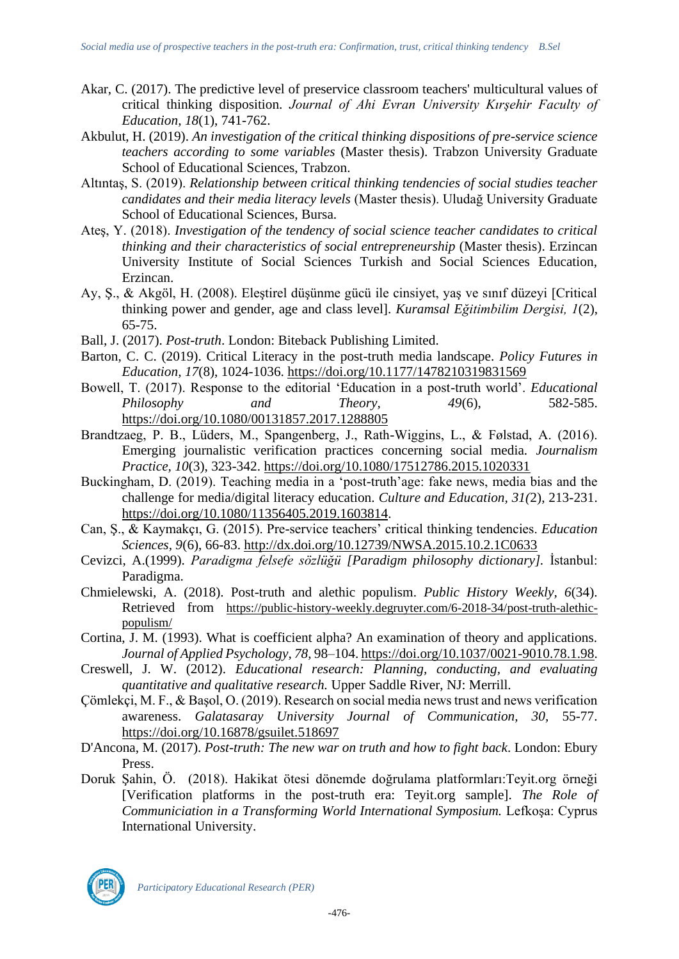- Akar, C. (2017). The predictive level of preservice classroom teachers' multicultural values of critical thinking disposition. *Journal of Ahi Evran University Kırşehir Faculty of Education, 18*(1), 741-762.
- Akbulut, H. (2019). *An investigation of the critical thinking dispositions of pre-service science teachers according to some variables* (Master thesis). Trabzon University Graduate School of Educational Sciences, Trabzon.
- Altıntaş, S. (2019). *Relationship between critical thinking tendencies of social studies teacher candidates and their media literacy levels* (Master thesis). Uludağ University Graduate School of Educational Sciences, Bursa.
- Ateş, Y. (2018). *Investigation of the tendency of social science teacher candidates to critical thinking and their characteristics of social entrepreneurship* (Master thesis). Erzincan University Institute of Social Sciences Turkish and Social Sciences Education, Erzincan.
- Ay, Ş., & Akgöl, H. (2008). Eleştirel düşünme gücü ile cinsiyet, yaş ve sınıf düzeyi [Critical thinking power and gender, age and class level]. *Kuramsal Eğitimbilim Dergisi, 1*(2), 65-75.
- Ball, J. (2017). *Post-truth*. London: Biteback Publishing Limited.
- Barton, C. C. (2019). Critical Literacy in the post-truth media landscape. *Policy Futures in Education, 17*(8), 1024-1036.<https://doi.org/10.1177/1478210319831569>
- Bowell, T. (2017). Response to the editorial 'Education in a post-truth world'. *Educational Philosophy and Theory, 49*(6), 582-585. <https://doi.org/10.1080/00131857.2017.1288805>
- Brandtzaeg, P. B., Lüders, M., Spangenberg, J., Rath-Wiggins, L., & Følstad, A. (2016). Emerging journalistic verification practices concerning social media. *Journalism Practice, 10*(3), 323-342.<https://doi.org/10.1080/17512786.2015.1020331>
- Buckingham, D. (2019). Teaching media in a 'post-truth'age: fake news, media bias and the challenge for media/digital literacy education. *Culture and Education, 31(*2), 213-231. [https://doi.org/10.1080/11356405.2019.1603814.](https://doi.org/10.1080/11356405.2019.1603814)
- Can, Ş., & Kaymakçı, G. (2015). Pre-service teachers' critical thinking tendencies. *Education Sciences, 9*(6), 66-83.<http://dx.doi.org/10.12739/NWSA.2015.10.2.1C0633>
- Cevizci, A.(1999). *Paradigma felsefe sözlüğü [Paradigm philosophy dictionary].* İstanbul: Paradigma.
- Chmielewski, A. (2018). Post-truth and alethic populism. *Public History Weekly, 6*(34). Retrieved from [https://public-history-weekly.degruyter.com/6-2018-34/post-truth-alethic](https://public-history-weekly.degruyter.com/6-2018-34/post-truth-alethic-populism/)[populism/](https://public-history-weekly.degruyter.com/6-2018-34/post-truth-alethic-populism/)
- Cortina, J. M. (1993). What is coefficient alpha? An examination of theory and applications. *Journal of Applied Psychology, 78,* 98–104. [https://doi.org/10.1037/0021-9010.78.1.98.](https://doi.org/10.1037/0021-9010.78.1.98)
- Creswell, J. W. (2012). *Educational research: Planning, conducting, and evaluating quantitative and qualitative research.* Upper Saddle River, NJ: Merrill.
- Çömlekçi, M. F., & Başol, O. (2019). Research on social media news trust and news verification awareness. *Galatasaray University Journal of Communication, 30,* 55-77. <https://doi.org/10.16878/gsuilet.518697>
- D'Ancona, M. (2017). *Post-truth: The new war on truth and how to fight back*. London: Ebury Press.
- Doruk Şahin, Ö. (2018). Hakikat ötesi dönemde doğrulama platformları:Teyit.org örneği [Verification platforms in the post-truth era: Teyit.org sample]. *The Role of Communiciation in a Transforming World International Symposium.* Lefkoşa: Cyprus International University.

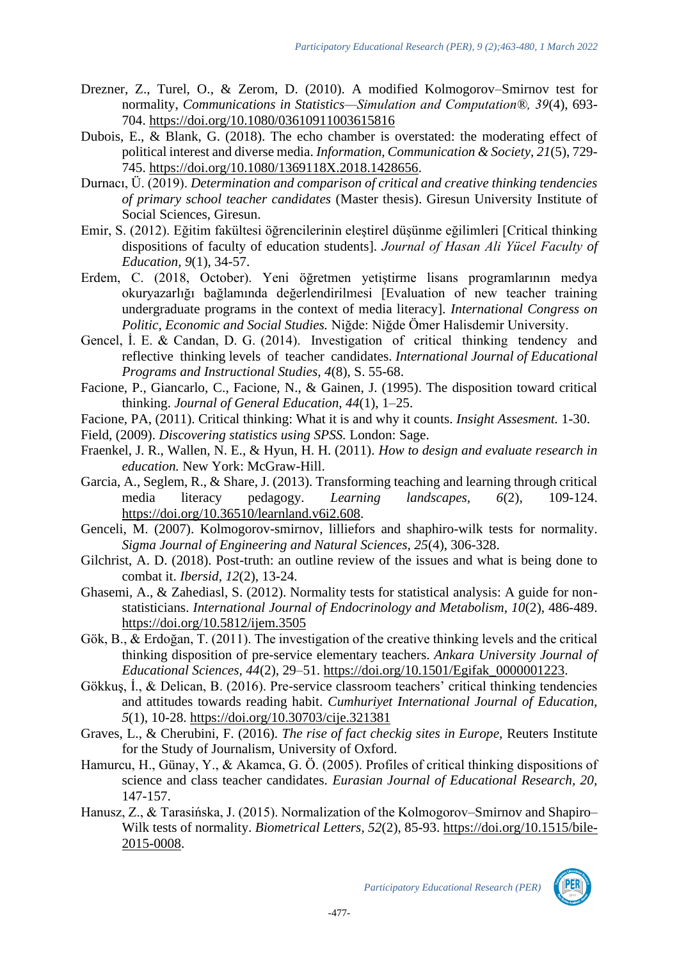- Drezner, Z., Turel, O., & Zerom, D. (2010). A modified Kolmogorov–Smirnov test for normality, *Communications in Statistics—Simulation and Computation®, 39*(4), 693- 704.<https://doi.org/10.1080/03610911003615816>
- Dubois, E., & Blank, G. (2018). The echo chamber is overstated: the moderating effect of political interest and diverse media. *Information, Communication & Society, 21*(5), 729- 745. [https://doi.org/10.1080/1369118X.2018.1428656.](https://doi.org/10.1080/1369118X.2018.1428656)
- Durnacı, Ü. (2019). *Determination and comparison of critical and creative thinking tendencies of primary school teacher candidates* (Master thesis). Giresun University Institute of Social Sciences, Giresun.
- Emir, S. (2012). Eğitim fakültesi öğrencilerinin eleştirel düşünme eğilimleri [Critical thinking dispositions of faculty of education students]. *Journal of Hasan Ali Yücel Faculty of Education, 9*(1), 34-57.
- Erdem, C. (2018, October). Yeni öğretmen yetiştirme lisans programlarının medya okuryazarlığı bağlamında değerlendirilmesi [Evaluation of new teacher training undergraduate programs in the context of media literacy]. *International Congress on Politic, Economic and Social Studies.* Niğde: Niğde Ömer Halisdemir University.
- Gencel, İ. E. & Candan, D. G. (2014). Investigation of critical thinking tendency and reflective thinking levels of teacher candidates. *International Journal of Educational Programs and Instructional Studies, 4*(8), S. 55-68.
- Facione, P., Giancarlo, C., Facione, N., & Gainen, J. (1995). The disposition toward critical thinking. *Journal of General Education, 44*(1), 1–25.
- Facione, PA, (2011). Critical thinking: What it is and why it counts. *Insight Assesment.* 1-30.
- Field, (2009). *Discovering statistics using SPSS.* London: Sage.
- Fraenkel, J. R., Wallen, N. E., & Hyun, H. H. (2011). *How to design and evaluate research in education.* New York: McGraw-Hill.
- Garcia, A., Seglem, R., & Share, J. (2013). Transforming teaching and learning through critical media literacy pedagogy. *Learning landscapes, 6*(2), 109-124. [https://doi.org/10.36510/learnland.v6i2.608.](https://doi.org/10.36510/learnland.v6i2.608)
- Genceli, M. (2007). Kolmogorov-smirnov, lilliefors and shaphiro-wilk tests for normality. *Sigma Journal of Engineering and Natural Sciences, 25*(4), 306-328.
- Gilchrist, A. D. (2018). Post-truth: an outline review of the issues and what is being done to combat it. *Ibersid, 12*(2), 13-24.
- Ghasemi, A., & Zahediasl, S. (2012). Normality tests for statistical analysis: A guide for nonstatisticians. *International Journal of Endocrinology and Metabolism, 10*(2), 486-489. <https://doi.org/10.5812/ijem.3505>
- Gök, B., & Erdoğan, T. (2011). The investigation of the creative thinking levels and the critical thinking disposition of pre-service elementary teachers. *Ankara University Journal of Educational Sciences, 44*(2), 29–51. [https://doi.org/10.1501/Egifak\\_0000001223.](https://doi.org/10.1501/Egifak_0000001223)
- Gökkuş, İ., & Delican, B. (2016). Pre-service classroom teachers' critical thinking tendencies and attitudes towards reading habit. *Cumhuriyet International Journal of Education, 5*(1), 10-28.<https://doi.org/10.30703/cije.321381>
- Graves, L., & Cherubini, F. (2016). *The rise of fact checkig sites in Europe,* Reuters Institute for the Study of Journalism, University of Oxford.
- Hamurcu, H., Günay, Y., & Akamca, G. Ö. (2005). Profiles of critical thinking dispositions of science and class teacher candidates. *Eurasian Journal of Educational Research, 20,* 147-157.
- Hanusz, Z., & Tarasińska, J. (2015). Normalization of the Kolmogorov–Smirnov and Shapiro– Wilk tests of normality. *Biometrical Letters, 52*(2), 85-93. [https://doi.org/10.1515/bile-](https://doi.org/10.1515/bile-2015-0008)[2015-0008.](https://doi.org/10.1515/bile-2015-0008)



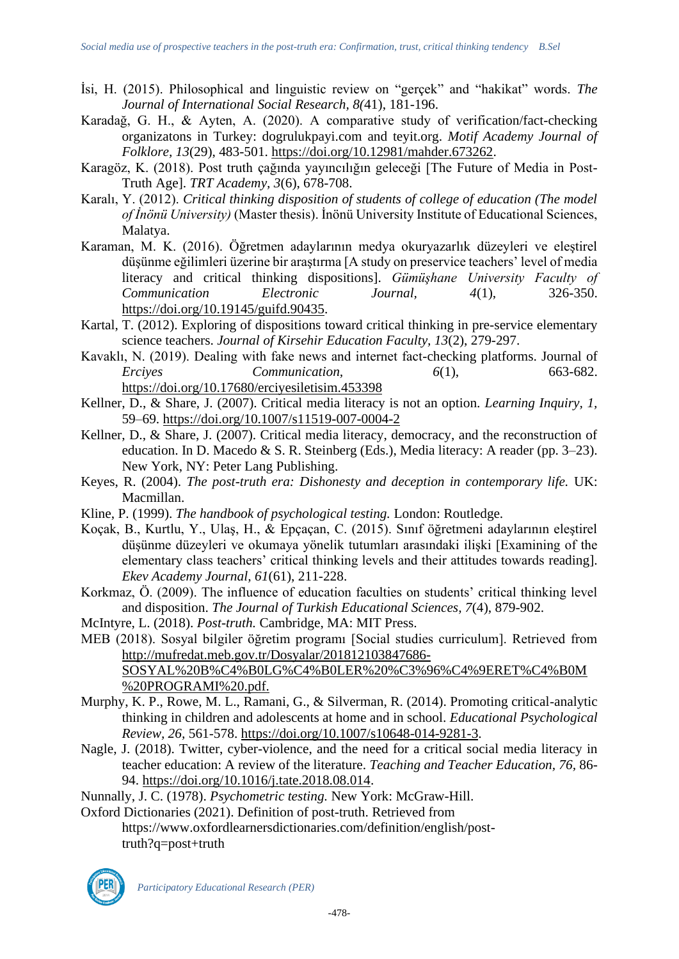- İsi, H. (2015). Philosophical and linguistic review on "gerçek" and "hakikat" words. *The Journal of International Social Research, 8(*41), 181-196.
- Karadağ, G. H., & Ayten, A. (2020). A comparative study of verification/fact-checking organizatons in Turkey: dogrulukpayi.com and teyit.org. *Motif Academy Journal of Folklore, 13*(29), 483-501. [https://doi.org/10.12981/mahder.673262.](https://doi.org/10.12981/mahder.673262)
- Karagöz, K. (2018). Post truth çağında yayıncılığın geleceği [The Future of Media in Post-Truth Age]. *TRT Academy, 3*(6), 678-708.
- Karalı, Y. (2012). *Critical thinking disposition of students of college of education (The model of İnönü University)* (Master thesis). İnönü University Institute of Educational Sciences, Malatya.
- Karaman, M. K. (2016). Öğretmen adaylarının medya okuryazarlık düzeyleri ve eleştirel düşünme eğilimleri üzerine bir araştırma [A study on preservice teachers' level of media literacy and critical thinking dispositions]. *Gümüşhane University Faculty of Communication Electronic Journal, 4*(1), 326-350. [https://doi.org/10.19145/guifd.90435.](https://doi.org/10.19145/guifd.90435)
- Kartal, T. (2012). Exploring of dispositions toward critical thinking in pre-service elementary science teachers. *Journal of Kirsehir Education Faculty, 13*(2), 279-297.
- Kavaklı, N. (2019). Dealing with fake news and internet fact-checking platforms. Journal of<br> *Ercives* Communication. 663-682. *Ercives Communication,* 6(1), <https://doi.org/10.17680/erciyesiletisim.453398>
- Kellner, D., & Share, J. (2007). Critical media literacy is not an option. *Learning Inquiry, 1,* 59–69. <https://doi.org/10.1007/s11519-007-0004-2>
- Kellner, D., & Share, J. (2007). Critical media literacy, democracy, and the reconstruction of education. In D. Macedo & S. R. Steinberg (Eds.), Media literacy: A reader (pp. 3–23). New York, NY: Peter Lang Publishing.
- Keyes, R. (2004). *The post-truth era: Dishonesty and deception in contemporary life.* UK: Macmillan.
- Kline, P. (1999). *The handbook of psychological testing.* London: Routledge.
- Koçak, B., Kurtlu, Y., Ulaş, H., & Epçaçan, C. (2015). Sınıf öğretmeni adaylarının eleştirel düşünme düzeyleri ve okumaya yönelik tutumları arasındaki ilişki [Examining of the elementary class teachers' critical thinking levels and their attitudes towards reading]. *Ekev Academy Journal, 61*(61), 211-228.
- Korkmaz, Ö. (2009). The influence of education faculties on students' critical thinking level and disposition. *The Journal of Turkish Educational Sciences, 7*(4), 879-902.
- McIntyre, L. (2018). *Post-truth.* Cambridge, MA: MIT Press.
- MEB (2018). Sosyal bilgiler öğretim programı [Social studies curriculum]. Retrieved from [http://mufredat.meb.gov.tr/Dosyalar/201812103847686-](http://mufredat.meb.gov.tr/Dosyalar/201812103847686-SOSYAL%20B%C4%B0LG%C4%B0LER%20%C3%96%C4%9ERET%C4%B0M%20PROGRAMI%20.pdf) [SOSYAL%20B%C4%B0LG%C4%B0LER%20%C3%96%C4%9ERET%C4%B0M](http://mufredat.meb.gov.tr/Dosyalar/201812103847686-SOSYAL%20B%C4%B0LG%C4%B0LER%20%C3%96%C4%9ERET%C4%B0M%20PROGRAMI%20.pdf) [%20PROGRAMI%20.pdf.](http://mufredat.meb.gov.tr/Dosyalar/201812103847686-SOSYAL%20B%C4%B0LG%C4%B0LER%20%C3%96%C4%9ERET%C4%B0M%20PROGRAMI%20.pdf)
- Murphy, K. P., Rowe, M. L., Ramani, G., & Silverman, R. (2014). Promoting critical-analytic thinking in children and adolescents at home and in school. *Educational Psychological Review, 26,* 561‑578. [https://doi.org/10.1007/s10648-014-9281-3.](https://doi.org/10.1007/s10648-014-9281-3)
- Nagle, J. (2018). Twitter, cyber-violence, and the need for a critical social media literacy in teacher education: A review of the literature. *Teaching and Teacher Education, 76,* 86- 94. [https://doi.org/10.1016/j.tate.2018.08.014.](https://doi.org/10.1016/j.tate.2018.08.014)
- Nunnally, J. C. (1978). *Psychometric testing.* New York: McGraw-Hill.
- Oxford Dictionaries (2021). Definition of post-truth. Retrieved from https://www.oxfordlearnersdictionaries.com/definition/english/posttruth?q=post+truth

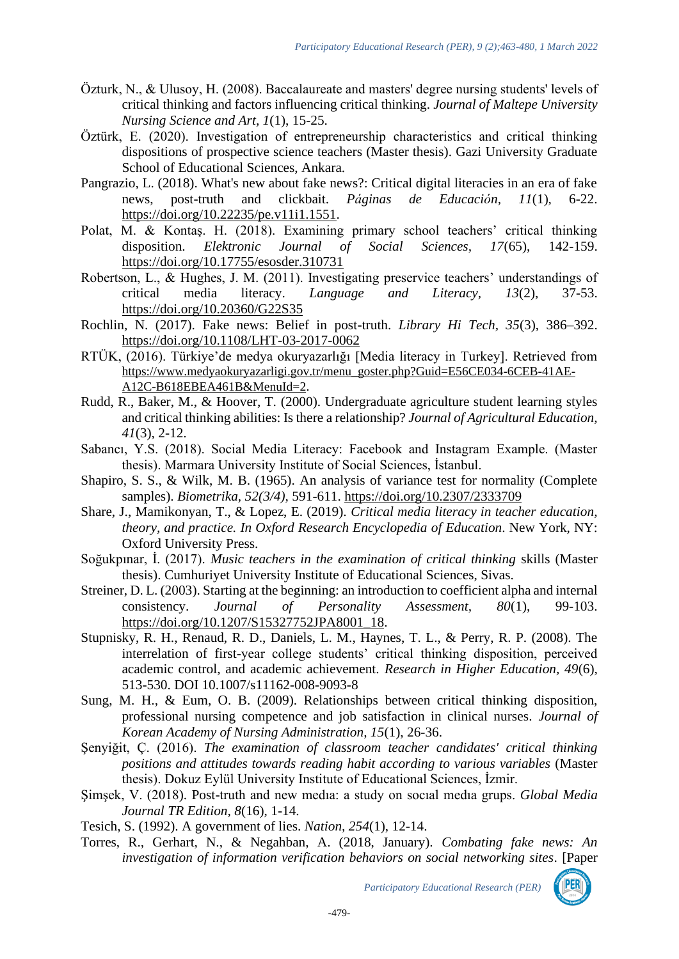- Özturk, N., & Ulusoy, H. (2008). Baccalaureate and masters' degree nursing students' levels of critical thinking and factors influencing critical thinking. *Journal of Maltepe University Nursing Science and Art, 1*(1), 15-25.
- Öztürk, E. (2020). Investigation of entrepreneurship characteristics and critical thinking dispositions of prospective science teachers (Master thesis). Gazi University Graduate School of Educational Sciences, Ankara.
- Pangrazio, L. (2018). What's new about fake news?: Critical digital literacies in an era of fake news, post-truth and clickbait. *Páginas de Educación, 11*(1), 6-22. [https://doi.org/10.22235/pe.v11i1.1551.](https://doi.org/10.22235/pe.v11i1.1551)
- Polat, M. & Kontaş. H. (2018). Examining primary school teachers' critical thinking disposition. *Elektronic Journal of Social Sciences, 17*(65), 142-159. <https://doi.org/10.17755/esosder.310731>
- Robertson, L., & Hughes, J. M. (2011). Investigating preservice teachers' understandings of critical media literacy. *Language and Literacy, 13*(2), 37-53. <https://doi.org/10.20360/G22S35>
- Rochlin, N. (2017). Fake news: Belief in post-truth. *Library Hi Tech, 35*(3), 386–392. <https://doi.org/10.1108/LHT-03-2017-0062>
- RTÜK, (2016). Türkiye'de medya okuryazarlığı [Media literacy in Turkey]. Retrieved from [https://www.medyaokuryazarligi.gov.tr/menu\\_goster.php?Guid=E56CE034-6CEB-41AE-](https://www.medyaokuryazarligi.gov.tr/menu_goster.php?Guid=E56CE034-6CEB-41AE-A12C-B618EBEA461B&MenuId=2)[A12C-B618EBEA461B&MenuId=2](https://www.medyaokuryazarligi.gov.tr/menu_goster.php?Guid=E56CE034-6CEB-41AE-A12C-B618EBEA461B&MenuId=2).
- Rudd, R., Baker, M., & Hoover, T. (2000). Undergraduate agriculture student learning styles and critical thinking abilities: Is there a relationship? *Journal of Agricultural Education, 41*(3), 2-12.
- Sabancı, Y.S. (2018). Social Media Literacy: Facebook and Instagram Example. (Master thesis). Marmara University Institute of Social Sciences, İstanbul.
- Shapiro, S. S., & Wilk, M. B. (1965). An analysis of variance test for normality (Complete samples). *Biometrika, 52(3/4),* 591-611.<https://doi.org/10.2307/2333709>
- Share, J., Mamikonyan, T., & Lopez, E. (2019). *Critical media literacy in teacher education, theory, and practice. In Oxford Research Encyclopedia of Education*. New York, NY: Oxford University Press.
- Soğukpınar, İ. (2017). *Music teachers in the examination of critical thinking* skills (Master thesis). Cumhuriyet University Institute of Educational Sciences, Sivas.
- Streiner, D. L. (2003). Starting at the beginning: an introduction to coefficient alpha and internal consistency. *Journal of Personality Assessment, 80*(1), 99-103. [https://doi.org/10.1207/S15327752JPA8001\\_18.](https://doi.org/10.1207/S15327752JPA8001_18)
- Stupnisky, R. H., Renaud, R. D., Daniels, L. M., Haynes, T. L., & Perry, R. P. (2008). The interrelation of first-year college students' critical thinking disposition, perceived academic control, and academic achievement. *Research in Higher Education, 49*(6), 513-530. DOI 10.1007/s11162-008-9093-8
- Sung, M. H., & Eum, O. B. (2009). Relationships between critical thinking disposition, professional nursing competence and job satisfaction in clinical nurses. *Journal of Korean Academy of Nursing Administration, 15*(1), 26-36.
- Şenyiğit, Ç. (2016). *The examination of classroom teacher candidates' critical thinking positions and attitudes towards reading habit according to various variables* (Master thesis). Dokuz Eylül University Institute of Educational Sciences, İzmir.
- Şimşek, V. (2018). Post-truth and new medıa: a study on socıal medıa grups. *Global Media Journal TR Edition, 8*(16), 1-14.
- Tesich, S. (1992). A government of lies. *Nation, 254*(1), 12-14.
- Torres, R., Gerhart, N., & Negahban, A. (2018, January). *Combating fake news: An investigation of information verification behaviors on social networking sites*. [Paper